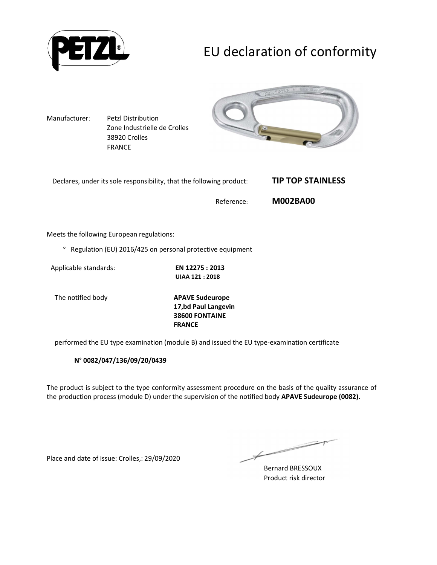

# EU declaration of conformity

Manufacturer: Petzl Distribution Zone Industrielle de Crolles 38920 Crolles FRANCE



| Declares, under its sole responsibility, that the following product: | <b>TIP TOP STAINLESS</b> |
|----------------------------------------------------------------------|--------------------------|
| Reference:                                                           | <b>M002BA00</b>          |

Meets the following European regulations:

° Regulation (EU) 2016/425 on personal protective equipment

Applicable standards: **EN 12275 : 2013** 

**UIAA 121 : 2018** 

The notified body **APAVE Sudeurope 17,bd Paul Langevin 38600 FONTAINE FRANCE**

performed the EU type examination (module B) and issued the EU type-examination certificate

**N° 0082/047/136/09/20/0439**

The product is subject to the type conformity assessment procedure on the basis of the quality assurance of the production process (module D) under the supervision of the notified body **APAVE Sudeurope (0082).**

Place and date of issue: Crolles,: 29/09/2020

Bernard BRESSOUX Product risk director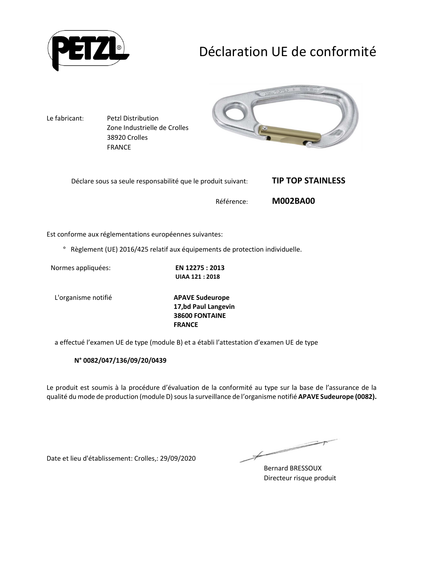

# Déclaration UE de conformité



Est conforme aux réglementations européennes suivantes:

° Règlement (UE) 2016/425 relatif aux équipements de protection individuelle.

Normes appliquées: **EN 12275 : 2013** 

**UIAA 121 : 2018** 

L'organisme notifié **APAVE Sudeurope**

**17,bd Paul Langevin 38600 FONTAINE FRANCE**

a effectué l'examen UE de type (module B) et a établi l'attestation d'examen UE de type

**N° 0082/047/136/09/20/0439**

Le produit est soumis à la procédure d'évaluation de la conformité au type sur la base de l'assurance de la qualité du mode de production (module D) sous la surveillance de l'organisme notifié **APAVE Sudeurope (0082).**

Date et lieu d'établissement: Crolles,: 29/09/2020

Bernard BRESSOUX Directeur risque produit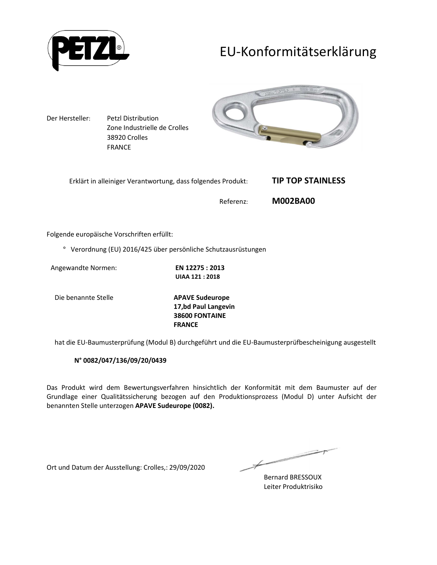

## EU-Konformitätserklärung



Folgende europäische Vorschriften erfüllt:

° Verordnung (EU) 2016/425 über persönliche Schutzausrüstungen

Angewandte Normen: **EN 12275 : 2013** 

**UIAA 121 : 2018** 

Die benannte Stelle **APAVE Sudeurope**

**17,bd Paul Langevin 38600 FONTAINE FRANCE**

hat die EU-Baumusterprüfung (Modul B) durchgeführt und die EU-Baumusterprüfbescheinigung ausgestellt

#### **N° 0082/047/136/09/20/0439**

Das Produkt wird dem Bewertungsverfahren hinsichtlich der Konformität mit dem Baumuster auf der Grundlage einer Qualitätssicherung bezogen auf den Produktionsprozess (Modul D) unter Aufsicht der benannten Stelle unterzogen **APAVE Sudeurope (0082).**

Ort und Datum der Ausstellung: Crolles,: 29/09/2020

 $\overline{\phantom{a}}$ Bernard BRESSOUX

Leiter Produktrisiko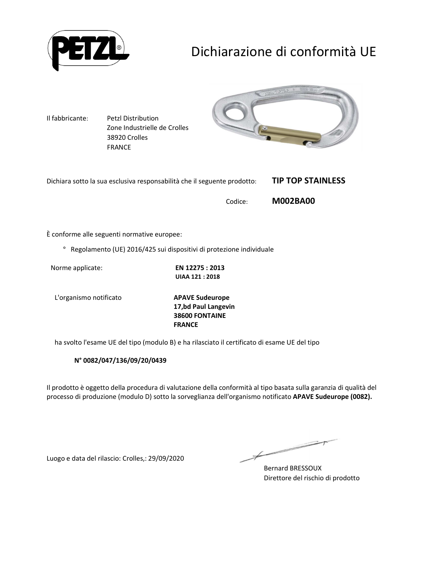

# Dichiarazione di conformità UE

Il fabbricante: Petzl Distribution Zone Industrielle de Crolles 38920 Crolles FRANCE



| Dichiara sotto la sua esclusiva responsabilità che il seguente prodotto: | <b>TIP TOP STAINLESS</b> |
|--------------------------------------------------------------------------|--------------------------|
| Codice:                                                                  | <b>M002BA00</b>          |

È conforme alle seguenti normative europee:

° Regolamento (UE) 2016/425 sui dispositivi di protezione individuale

Norme applicate: **EN 12275 : 2013** 

**UIAA 121 : 2018** 

L'organismo notificato **APAVE Sudeurope**

**17,bd Paul Langevin 38600 FONTAINE FRANCE**

ha svolto l'esame UE del tipo (modulo B) e ha rilasciato il certificato di esame UE del tipo

**N° 0082/047/136/09/20/0439**

Il prodotto è oggetto della procedura di valutazione della conformità al tipo basata sulla garanzia di qualità del processo di produzione (modulo D) sotto la sorveglianza dell'organismo notificato **APAVE Sudeurope (0082).**

Luogo e data del rilascio: Crolles,: 29/09/2020

Bernard BRESSOUX Direttore del rischio di prodotto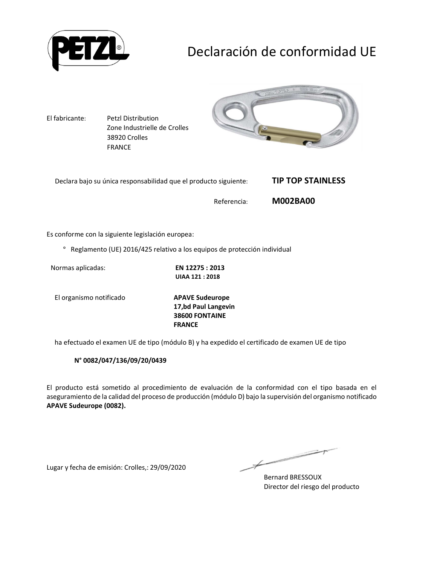

# Declaración de conformidad UE

El fabricante: Petzl Distribution Zone Industrielle de Crolles 38920 Crolles FRANCE



| Declara bajo su única responsabilidad que el producto siguiente: | <b>TIP TOP STAINLESS</b> |
|------------------------------------------------------------------|--------------------------|
| Referencia:                                                      | <b>M002BA00</b>          |

Es conforme con la siguiente legislación europea:

° Reglamento (UE) 2016/425 relativo a los equipos de protección individual

Normas aplicadas: **EN 12275 : 2013** 

**UIAA 121 : 2018** 

El organismo notificado **APAVE Sudeurope**

**17,bd Paul Langevin 38600 FONTAINE FRANCE**

ha efectuado el examen UE de tipo (módulo B) y ha expedido el certificado de examen UE de tipo

**N° 0082/047/136/09/20/0439**

El producto está sometido al procedimiento de evaluación de la conformidad con el tipo basada en el aseguramiento de la calidad del proceso de producción (módulo D) bajo la supervisión del organismo notificado **APAVE Sudeurope (0082).**

Lugar y fecha de emisión: Crolles,: 29/09/2020

 $\overline{\phantom{a}}$ 

Bernard BRESSOUX Director del riesgo del producto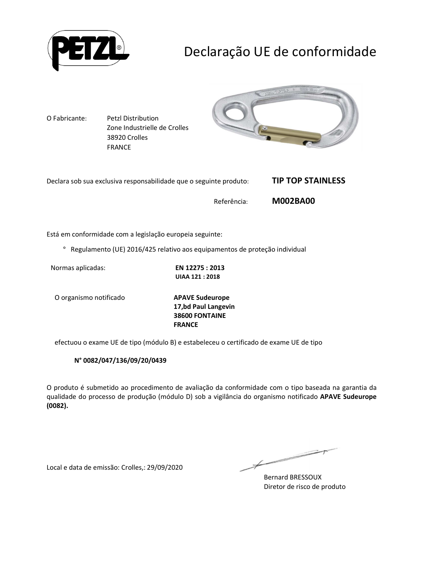

# Declaração UE de conformidade

O Fabricante: Petzl Distribution Zone Industrielle de Crolles 38920 Crolles FRANCE



| Declara sob sua exclusiva responsabilidade que o seguinte produto: | <b>TIP TOP STAINLESS</b> |
|--------------------------------------------------------------------|--------------------------|
| Referência:                                                        | <b>M002BA00</b>          |

Está em conformidade com a legislação europeia seguinte:

° Regulamento (UE) 2016/425 relativo aos equipamentos de proteção individual

Normas aplicadas: **EN 12275 : 2013** 

**UIAA 121 : 2018** 

O organismo notificado **APAVE Sudeurope**

**17,bd Paul Langevin 38600 FONTAINE FRANCE**

efectuou o exame UE de tipo (módulo B) e estabeleceu o certificado de exame UE de tipo

#### **N° 0082/047/136/09/20/0439**

O produto é submetido ao procedimento de avaliação da conformidade com o tipo baseada na garantia da qualidade do processo de produção (módulo D) sob a vigilância do organismo notificado **APAVE Sudeurope (0082).**

Local e data de emissão: Crolles,: 29/09/2020

 $\overline{\phantom{a}}$ 

Bernard BRESSOUX Diretor de risco de produto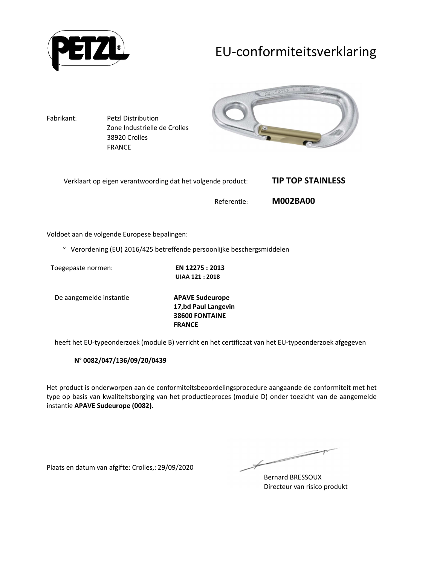

## EU-conformiteitsverklaring



Voldoet aan de volgende Europese bepalingen:

° Verordening (EU) 2016/425 betreffende persoonlijke beschergsmiddelen

Toegepaste normen: **EN 12275 : 2013** 

**UIAA 121 : 2018** 

De aangemelde instantie **APAVE Sudeurope**

**17,bd Paul Langevin 38600 FONTAINE FRANCE**

heeft het EU-typeonderzoek (module B) verricht en het certificaat van het EU-typeonderzoek afgegeven

**N° 0082/047/136/09/20/0439**

Het product is onderworpen aan de conformiteitsbeoordelingsprocedure aangaande de conformiteit met het type op basis van kwaliteitsborging van het productieproces (module D) onder toezicht van de aangemelde instantie **APAVE Sudeurope (0082).**

Plaats en datum van afgifte: Crolles,: 29/09/2020

 $\overline{\phantom{a}}$ 

Bernard BRESSOUX Directeur van risico produkt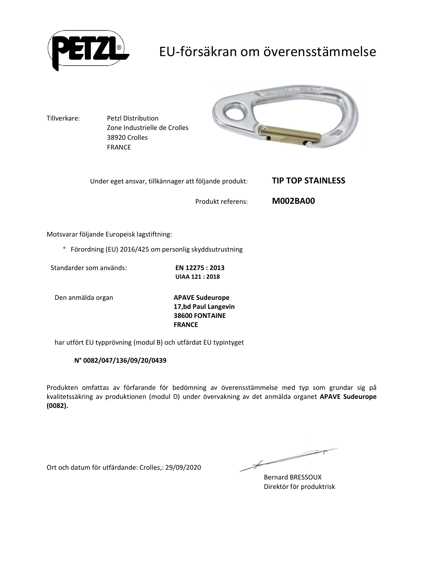

## EU-försäkran om överensstämmelse



Motsvarar följande Europeisk lagstiftning:

° Förordning (EU) 2016/425 om personlig skyddsutrustning

Standarder som används: **EN 12275 : 2013** 

**UIAA 121 : 2018** 

Den anmälda organ **APAVE Sudeurope**

**17,bd Paul Langevin 38600 FONTAINE FRANCE**

har utfört EU typprövning (modul B) och utfärdat EU typintyget

#### **N° 0082/047/136/09/20/0439**

Produkten omfattas av förfarande för bedömning av överensstämmelse med typ som grundar sig på kvalitetssäkring av produktionen (modul D) under övervakning av det anmälda organet **APAVE Sudeurope (0082).**

Ort och datum för utfärdande: Crolles,: 29/09/2020

二十

Bernard BRESSOUX Direktör för produktrisk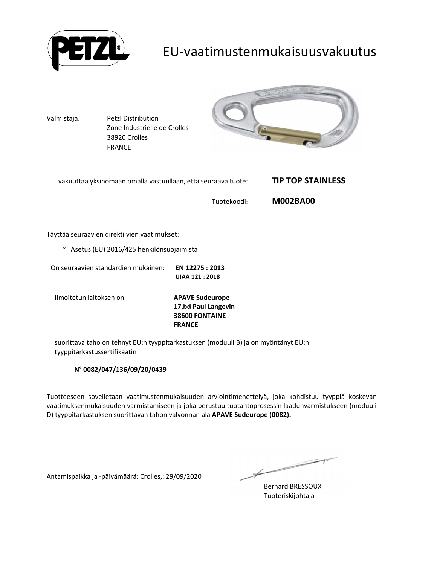

### EU-vaatimustenmukaisuusvakuutus



Täyttää seuraavien direktiivien vaatimukset:

° Asetus (EU) 2016/425 henkilönsuojaimista

On seuraavien standardien mukainen: **EN 12275 : 2013 UIAA 121 : 2018** 

Ilmoitetun laitoksen on **APAVE Sudeurope**

**17,bd Paul Langevin 38600 FONTAINE FRANCE**

suorittava taho on tehnyt EU:n tyyppitarkastuksen (moduuli B) ja on myöntänyt EU:n tyyppitarkastussertifikaatin

#### **N° 0082/047/136/09/20/0439**

Tuotteeseen sovelletaan vaatimustenmukaisuuden arviointimenettelyä, joka kohdistuu tyyppiä koskevan vaatimuksenmukaisuuden varmistamiseen ja joka perustuu tuotantoprosessin laadunvarmistukseen (moduuli D) tyyppitarkastuksen suorittavan tahon valvonnan ala **APAVE Sudeurope (0082).**

Antamispaikka ja -päivämäärä: Crolles,: 29/09/2020

Bernard BRESSOUX Tuoteriskijohtaja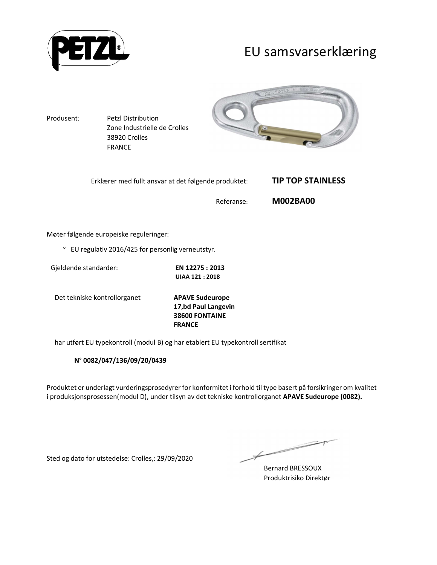

### EU samsvarserklæring



Møter følgende europeiske reguleringer:

° EU regulativ 2016/425 for personlig verneutstyr.

| Gjeldende standarder: | EN 12275 : 2013        |
|-----------------------|------------------------|
|                       | <b>UIAA 121 : 2018</b> |

Det tekniske kontrollorganet **APAVE Sudeurope**

**17,bd Paul Langevin 38600 FONTAINE FRANCE**

har utført EU typekontroll (modul B) og har etablert EU typekontroll sertifikat

**N° 0082/047/136/09/20/0439**

Produktet er underlagt vurderingsprosedyrer for konformitet i forhold til type basert på forsikringer om kvalitet i produksjonsprosessen(modul D), under tilsyn av det tekniske kontrollorganet **APAVE Sudeurope (0082).**

Sted og dato for utstedelse: Crolles,: 29/09/2020

Bernard BRESSOUX Produktrisiko Direktør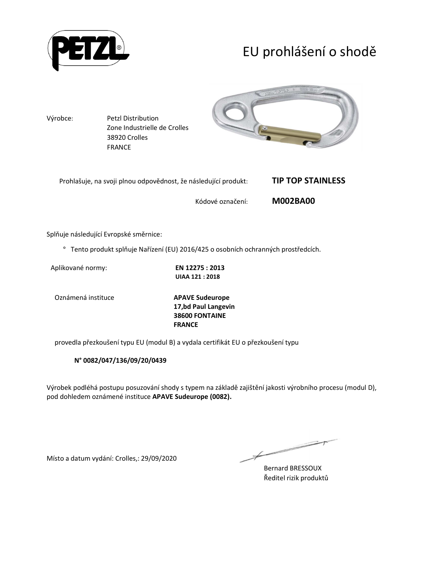

# EU prohlášení o shodě



Splňuje následující Evropské směrnice:

° Tento produkt splňuje Nařízení (EU) 2016/425 o osobních ochranných prostředcích.

Aplikované normy: **EN 12275 : 2013** 

**UIAA 121 : 2018** 

Oznámená instituce **APAVE Sudeurope**

**17,bd Paul Langevin 38600 FONTAINE FRANCE**

provedla přezkoušení typu EU (modul B) a vydala certifikát EU o přezkoušení typu

**N° 0082/047/136/09/20/0439**

Výrobek podléhá postupu posuzování shody s typem na základě zajištění jakosti výrobního procesu (modul D), pod dohledem oznámené instituce **APAVE Sudeurope (0082).**

Místo a datum vydání: Crolles,: 29/09/2020

Bernard BRESSOUX Ředitel rizik produktů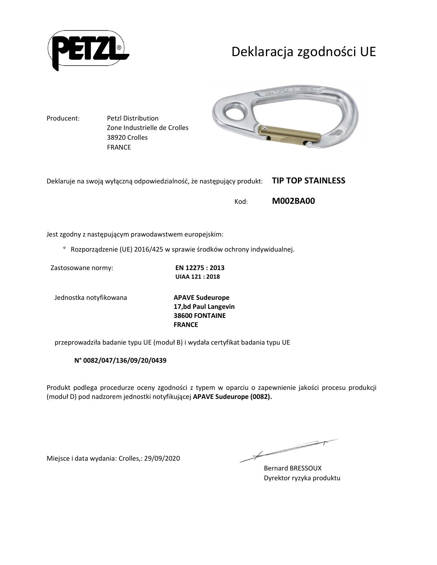

## Deklaracja zgodności UE

Producent: Petzl Distribution Zone Industrielle de Crolles 38920 Crolles FRANCE



| Deklaruje na swoją wyłączną odpowiedzialność, że następujący produkt: TIP TOP STAINLESS |  |
|-----------------------------------------------------------------------------------------|--|
|-----------------------------------------------------------------------------------------|--|

Kod: **M002BA00** 

Jest zgodny z następującym prawodawstwem europejskim:

° Rozporządzenie (UE) 2016/425 w sprawie środków ochrony indywidualnej.

Zastosowane normy: **EN 12275 : 2013** 

**UIAA 121 : 2018** 

Jednostka notyfikowana **APAVE Sudeurope**

**17,bd Paul Langevin 38600 FONTAINE FRANCE**

przeprowadziła badanie typu UE (moduł B) i wydała certyfikat badania typu UE

**N° 0082/047/136/09/20/0439**

Produkt podlega procedurze oceny zgodności z typem w oparciu o zapewnienie jakości procesu produkcji (moduł D) pod nadzorem jednostki notyfikującej **APAVE Sudeurope (0082).**

Miejsce i data wydania: Crolles,: 29/09/2020

Bernard BRESSOUX Dyrektor ryzyka produktu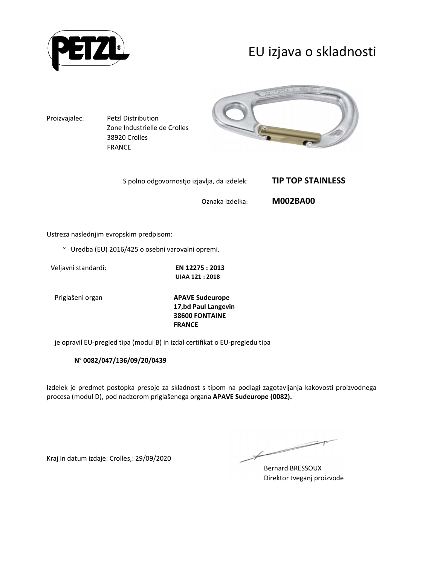

## EU izjava o skladnosti



Oznaka izdelka: **M002BA00** 

Ustreza naslednjim evropskim predpisom:

° Uredba (EU) 2016/425 o osebni varovalni opremi.

Veljavni standardi: **EN 12275 : 2013** 

**UIAA 121 : 2018** 

Priglašeni organ **APAVE Sudeurope 17,bd Paul Langevin 38600 FONTAINE FRANCE**

je opravil EU-pregled tipa (modul B) in izdal certifikat o EU-pregledu tipa

#### **N° 0082/047/136/09/20/0439**

Izdelek je predmet postopka presoje za skladnost s tipom na podlagi zagotavljanja kakovosti proizvodnega procesa (modul D), pod nadzorom priglašenega organa **APAVE Sudeurope (0082).**

Kraj in datum izdaje: Crolles,: 29/09/2020

Bernard BRESSOUX Direktor tveganj proizvode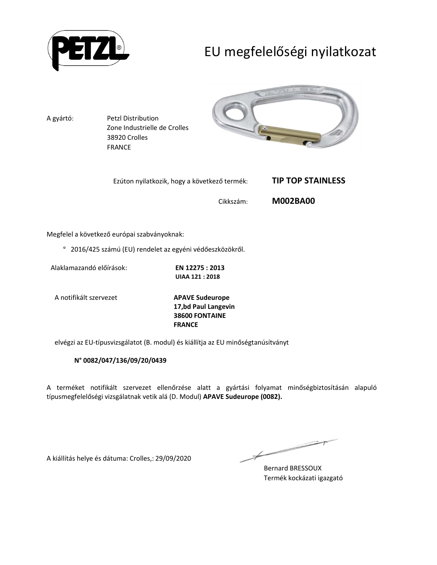

# EU megfelelőségi nyilatkozat



Megfelel a következő európai szabványoknak:

° 2016/425 számú (EU) rendelet az egyéni védőeszközökről.

Alaklamazandó előírások: **EN 12275 : 2013** 

**UIAA 121 : 2018** 

A notifikált szervezet **APAVE Sudeurope**

**17,bd Paul Langevin 38600 FONTAINE FRANCE**

elvégzi az EU-típusvizsgálatot (B. modul) és kiállítja az EU minőségtanúsítványt

#### **N° 0082/047/136/09/20/0439**

A terméket notifikált szervezet ellenőrzése alatt a gyártási folyamat minőségbiztosításán alapuló típusmegfelelőségi vizsgálatnak vetik alá (D. Modul) **APAVE Sudeurope (0082).**

A kiállítás helye és dátuma: Crolles,: 29/09/2020

Bernard BRESSOUX Termék kockázati igazgató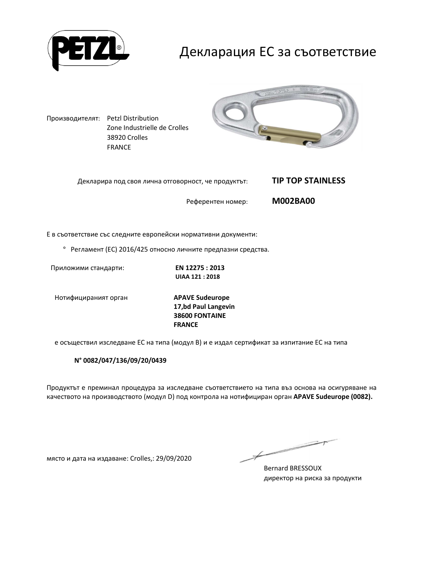

### Декларация ЕС за съответствие

Производителят: Petzl Distribution Zone Industrielle de Crolles 38920 Crolles FRANCE



| Декларира под своя лична отговорност, че продуктът: | <b>TIP TOP STAINLESS</b> |
|-----------------------------------------------------|--------------------------|
| Референтен номер:                                   | <b>M002BA00</b>          |

Е в съответствие със следните европейски нормативни документи:

° Регламент (ЕС) 2016/425 относно личните предпазни средства.

Приложими стандарти: **EN 12275 : 2013** 

**UIAA 121 : 2018** 

Нотифицираният орган **APAVE Sudeurope**

**17,bd Paul Langevin 38600 FONTAINE FRANCE**

е осъществил изследване ЕС на типа (модул В) и е издал сертификат за изпитание ЕС на типа

**N° 0082/047/136/09/20/0439**

Продуктът е преминал процедура за изследване съответствието на типа въз основа на осигуряване на качеството на производството (модул D) под контрола на нотифициран орган **APAVE Sudeurope (0082).**

място и дата на издаване: Crolles,: 29/09/2020

Bernard BRESSOUX директор на риска за продукти